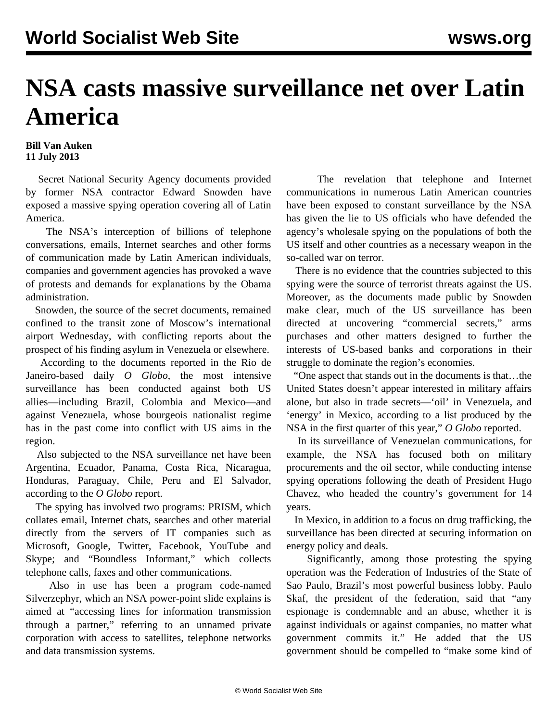## **NSA casts massive surveillance net over Latin America**

## **Bill Van Auken 11 July 2013**

 Secret National Security Agency documents provided by former NSA contractor Edward Snowden have exposed a massive spying operation covering all of Latin America.

 The NSA's interception of billions of telephone conversations, emails, Internet searches and other forms of communication made by Latin American individuals, companies and government agencies has provoked a wave of protests and demands for explanations by the Obama administration.

 Snowden, the source of the secret documents, remained confined to the transit zone of Moscow's international airport Wednesday, with conflicting reports about the prospect of his finding asylum in Venezuela or elsewhere.

 According to the documents reported in the Rio de Janeiro-based daily *O Globo*, the most intensive surveillance has been conducted against both US allies—including Brazil, Colombia and Mexico—and against Venezuela, whose bourgeois nationalist regime has in the past come into conflict with US aims in the region.

 Also subjected to the NSA surveillance net have been Argentina, Ecuador, Panama, Costa Rica, Nicaragua, Honduras, Paraguay, Chile, Peru and El Salvador, according to the *O Globo* report.

 The spying has involved two programs: PRISM, which collates email, Internet chats, searches and other material directly from the servers of IT companies such as Microsoft, Google, Twitter, Facebook, YouTube and Skype; and "Boundless Informant," which collects telephone calls, faxes and other communications.

 Also in use has been a program code-named Silverzephyr, which an NSA power-point slide explains is aimed at "accessing lines for information transmission through a partner," referring to an unnamed private corporation with access to satellites, telephone networks and data transmission systems.

 The revelation that telephone and Internet communications in numerous Latin American countries have been exposed to constant surveillance by the NSA has given the lie to US officials who have defended the agency's wholesale spying on the populations of both the US itself and other countries as a necessary weapon in the so-called war on terror.

 There is no evidence that the countries subjected to this spying were the source of terrorist threats against the US. Moreover, as the documents made public by Snowden make clear, much of the US surveillance has been directed at uncovering "commercial secrets," arms purchases and other matters designed to further the interests of US-based banks and corporations in their struggle to dominate the region's economies.

 "One aspect that stands out in the documents is that…the United States doesn't appear interested in military affairs alone, but also in trade secrets—'oil' in Venezuela, and 'energy' in Mexico, according to a list produced by the NSA in the first quarter of this year," *O Globo* reported.

 In its surveillance of Venezuelan communications, for example, the NSA has focused both on military procurements and the oil sector, while conducting intense spying operations following the death of President Hugo Chavez, who headed the country's government for 14 years.

 In Mexico, in addition to a focus on drug trafficking, the surveillance has been directed at securing information on energy policy and deals.

 Significantly, among those protesting the spying operation was the Federation of Industries of the State of Sao Paulo, Brazil's most powerful business lobby. Paulo Skaf, the president of the federation, said that "any espionage is condemnable and an abuse, whether it is against individuals or against companies, no matter what government commits it." He added that the US government should be compelled to "make some kind of